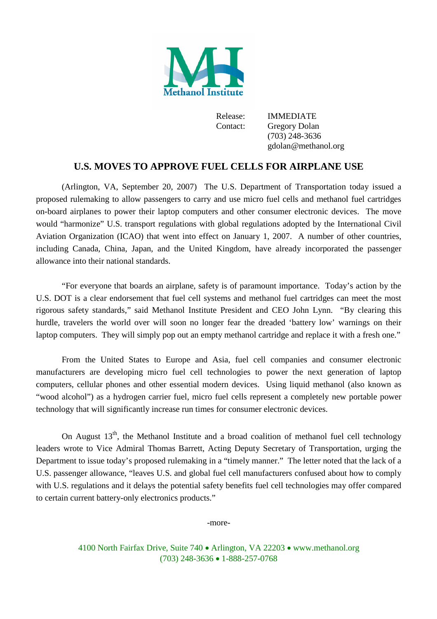

Release: IMMEDIATE Contact: Gregory Dolan (703) 248-3636 gdolan@methanol.org

## **U.S. MOVES TO APPROVE FUEL CELLS FOR AIRPLANE USE**

(Arlington, VA, September 20, 2007) The U.S. Department of Transportation today issued a proposed rulemaking to allow passengers to carry and use micro fuel cells and methanol fuel cartridges on-board airplanes to power their laptop computers and other consumer electronic devices. The move would "harmonize" U.S. transport regulations with global regulations adopted by the International Civil Aviation Organization (ICAO) that went into effect on January 1, 2007. A number of other countries, including Canada, China, Japan, and the United Kingdom, have already incorporated the passenger allowance into their national standards.

"For everyone that boards an airplane, safety is of paramount importance. Today's action by the U.S. DOT is a clear endorsement that fuel cell systems and methanol fuel cartridges can meet the most rigorous safety standards," said Methanol Institute President and CEO John Lynn. "By clearing this hurdle, travelers the world over will soon no longer fear the dreaded 'battery low' warnings on their laptop computers. They will simply pop out an empty methanol cartridge and replace it with a fresh one."

From the United States to Europe and Asia, fuel cell companies and consumer electronic manufacturers are developing micro fuel cell technologies to power the next generation of laptop computers, cellular phones and other essential modern devices. Using liquid methanol (also known as "wood alcohol") as a hydrogen carrier fuel, micro fuel cells represent a completely new portable power technology that will significantly increase run times for consumer electronic devices.

On August  $13<sup>th</sup>$ , the Methanol Institute and a broad coalition of methanol fuel cell technology leaders wrote to Vice Admiral Thomas Barrett, Acting Deputy Secretary of Transportation, urging the Department to issue today's proposed rulemaking in a "timely manner." The letter noted that the lack of a U.S. passenger allowance, "leaves U.S. and global fuel cell manufacturers confused about how to comply with U.S. regulations and it delays the potential safety benefits fuel cell technologies may offer compared to certain current battery-only electronics products."

-more-

4100 North Fairfax Drive, Suite 740 • Arlington, VA 22203 • www.methanol.org (703) 248-3636 1-888-257-0768